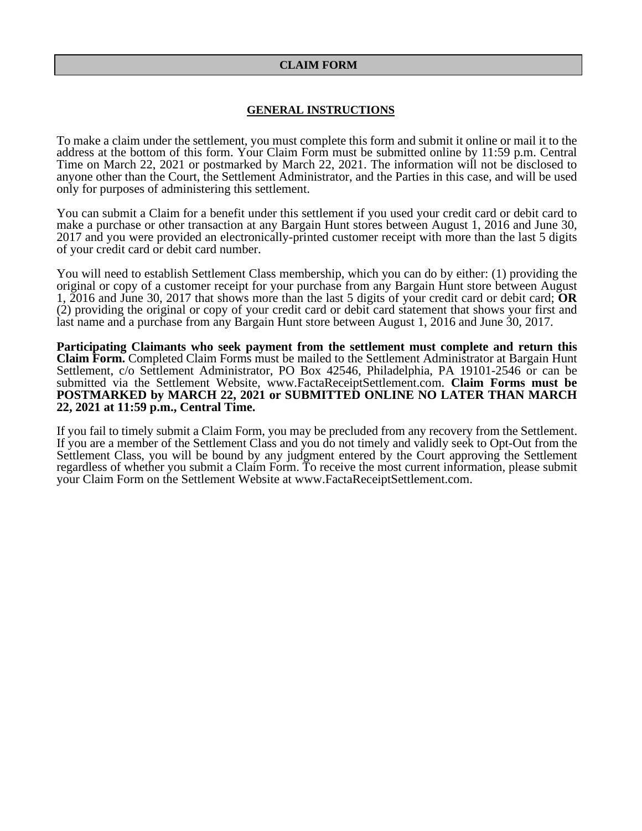### **CLAIM FORM**

#### **GENERAL INSTRUCTIONS**

To make a claim under the settlement, you must complete this form and submit it online or mail it to the address at the bottom of this form. Your Claim Form must be submitted online by 11:59 p.m. Central Time on March 22, 2021 or postmarked by March 22, 2021. The information will not be disclosed to anyone other than the Court, the Settlement Administrator, and the Parties in this case, and will be used only for purposes of administering this settlement.

You can submit a Claim for a benefit under this settlement if you used your credit card or debit card to make a purchase or other transaction at any Bargain Hunt stores between August 1, 2016 and June 30, 2017 and you were provided an electronically-printed customer receipt with more than the last 5 digits of your credit card or debit card number.

You will need to establish Settlement Class membership, which you can do by either: (1) providing the original or copy of a customer receipt for your purchase from any Bargain Hunt store between August 1, 2016 and June 30, 2017 that shows more than the last 5 digits of your credit card or debit card; **OR**  (2) providing the original or copy of your credit card or debit card statement that shows your first and last name and a purchase from any Bargain Hunt store between August 1, 2016 and June 30, 2017.

**Participating Claimants who seek payment from the settlement must complete and return this Claim Form.** Completed Claim Forms must be mailed to the Settlement Administrator at Bargain Hunt Settlement, c/o Settlement Administrator, PO Box 42546, Philadelphia, PA 19101-2546 or can be submitted via the Settlement Website, www.FactaReceiptSettlement.com. **Claim Forms must be POSTMARKED by MARCH 22, 2021 or SUBMITTED ONLINE NO LATER THAN MARCH 22, 2021 at 11:59 p.m., Central Time.** 

If you fail to timely submit a Claim Form, you may be precluded from any recovery from the Settlement. If you are a member of the Settlement Class and you do not timely and validly seek to Opt-Out from the Settlement Class, you will be bound by any judgment entered by the Court approving the Settlement regardless of whether you submit a Claim Form. To receive the most current information, please submit your Claim Form on the Settlement Website at www.FactaReceiptSettlement.com.